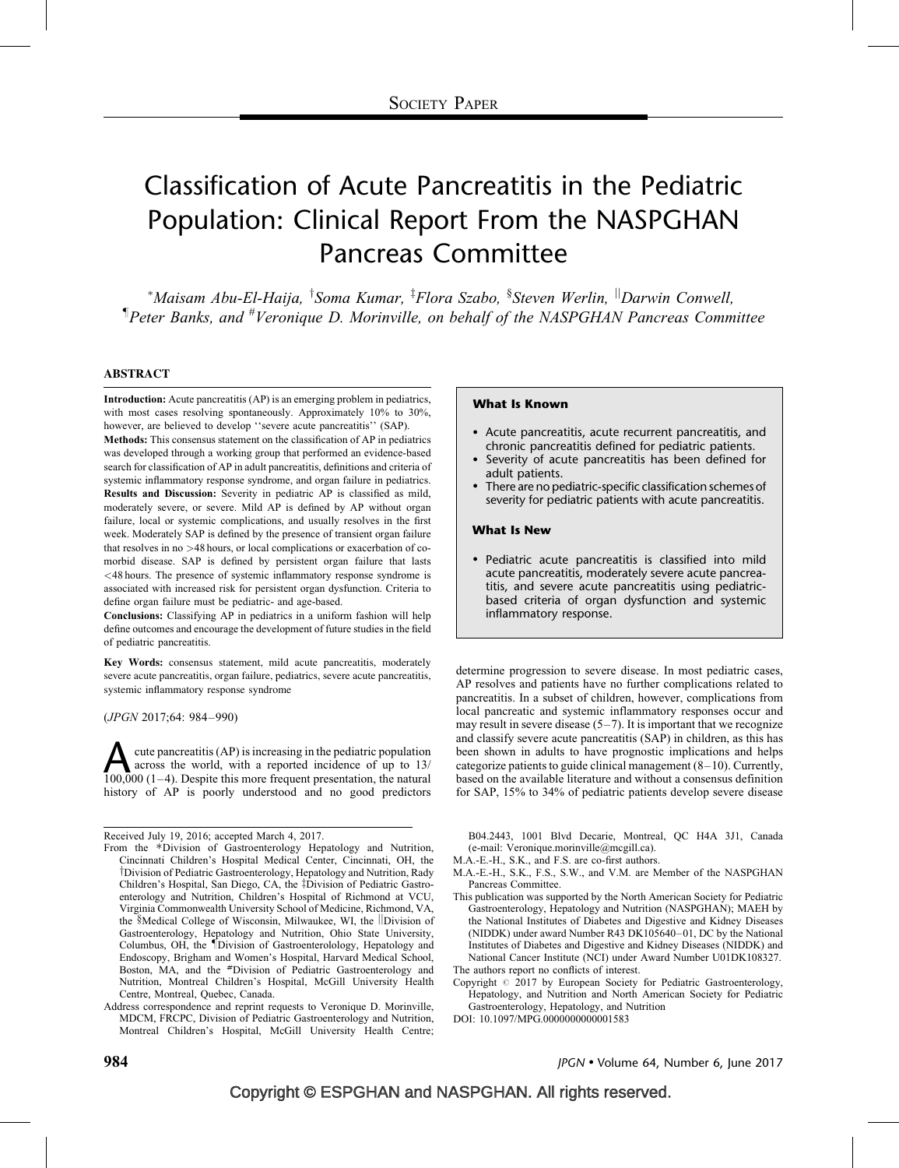# Classification of Acute Pancreatitis in the Pediatric Population: Clinical Report From the NASPGHAN Pancreas Committee

\*Maisam Abu-El-Haija, <sup>†</sup>Soma Kumar, <sup>‡</sup>Flora Szabo, <sup>§</sup>Steven Werlin, <sup>||</sup>Darwin Conwell, <sup>¶</sup>Peter Banks, and <sup>#</sup>Veronique D. Morinville, on behalf of the NASPGHAN Pancreas Committee

### **ABSTRACT**

Introduction: Acute pancreatitis (AP) is an emerging problem in pediatrics, with most cases resolving spontaneously. Approximately 10% to 30%, however, are believed to develop "severe acute pancreatitis" (SAP).

Methods: This consensus statement on the classification of AP in pediatrics was developed through a working group that performed an evidence-based search for classification of AP in adult pancreatitis, definitions and criteria of systemic inflammatory response syndrome, and organ failure in pediatrics. Results and Discussion: Severity in pediatric AP is classified as mild, moderately severe, or severe. Mild AP is defined by AP without organ failure, local or systemic complications, and usually resolves in the first week. Moderately SAP is defined by the presence of transient organ failure that resolves in no >48 hours, or local complications or exacerbation of comorbid disease. SAP is defined by persistent organ failure that lasts <48 hours. The presence of systemic inflammatory response syndrome is associated with increased risk for persistent organ dysfunction. Criteria to define organ failure must be pediatric- and age-based.

Conclusions: Classifying AP in pediatrics in a uniform fashion will help define outcomes and encourage the development of future studies in the field of pediatric pancreatitis.

Key Words: consensus statement, mild acute pancreatitis, moderately severe acute pancreatitis, organ failure, pediatrics, severe acute pancreatitis, systemic inflammatory response syndrome

(JPGN 2017;64: 984–990)

Acute pancreatitis (AP) is increasing in the pediatric population across the world, with a reported incidence of up to 13/100,000 [\(1–4\).](#page-5-0) Despite this more frequent presentation, the natural across the world, with a reported incidence of up to 13/ history of AP is poorly understood and no good predictors

### What Is Known

- Acute pancreatitis, acute recurrent pancreatitis, and chronic pancreatitis defined for pediatric patients.
- Severity of acute pancreatitis has been defined for adult patients.
- There are no pediatric-specific classification schemes of severity for pediatric patients with acute pancreatitis.

#### What Is New

 Pediatric acute pancreatitis is classified into mild acute pancreatitis, moderately severe acute pancreatitis, and severe acute pancreatitis using pediatricbased criteria of organ dysfunction and systemic inflammatory response.

determine progression to severe disease. In most pediatric cases, AP resolves and patients have no further complications related to pancreatitis. In a subset of children, however, complications from local pancreatic and systemic inflammatory responses occur and may result in severe disease  $(5-7)$ . It is important that we recognize and classify severe acute pancreatitis (SAP) in children, as this has been shown in adults to have prognostic implications and helps categorize patients to guide clinical management [\(8–10\)](#page-5-0). Currently, based on the available literature and without a consensus definition for SAP, 15% to 34% of pediatric patients develop severe disease

B04.2443, 1001 Blvd Decarie, Montreal, QC H4A 3J1, Canada (e-mail: [Veronique.morinville@mcgill.ca\)](mailto:Veronique.morinville@mcgill.ca).

- M.A.-E.-H., S.K., and F.S. are co-first authors.
- M.A.-E.-H., S.K., F.S., S.W., and V.M. are Member of the NASPGHAN Pancreas Committee.
- This publication was supported by the North American Society for Pediatric Gastroenterology, Hepatology and Nutrition (NASPGHAN); MAEH by the National Institutes of Diabetes and Digestive and Kidney Diseases (NIDDK) under award Number R43 DK105640–01, DC by the National Institutes of Diabetes and Digestive and Kidney Diseases (NIDDK) and National Cancer Institute (NCI) under Award Number U01DK108327. The authors report no conflicts of interest.

Copyright  $\oslash$  2017 by European Society for Pediatric Gastroenterology, Hepatology, and Nutrition and North American Society for Pediatric Gastroenterology, Hepatology, and Nutrition

DOI: [10.1097/MPG.0000000000001583](http://dx.doi.org/10.1097/MPG.0000000000001583)

Received July 19, 2016; accepted March 4, 2017.

From the -Division of Gastroenterology Hepatology and Nutrition, Cincinnati Children's Hospital Medical Center, Cincinnati, OH, the <sup>†</sup>Division of Pediatric Gastroenterology, Hepatology and Nutrition, Rady Children's Hospital, San Diego, CA, the <sup>‡</sup>Division of Pediatric Gastroenterology and Nutrition, Children's Hospital of Richmond at VCU, Virginia Commonwealth University School of Medicine, Richmond, VA, the §Medical College of Wisconsin, Milwaukee, WI, the *Division* of Gastroenterology, Hepatology and Nutrition, Ohio State University, Columbus, OH, the *Division* of Gastroenterolology, Hepatology and Endoscopy, Brigham and Women's Hospital, Harvard Medical School, Boston, MA, and the #Division of Pediatric Gastroenterology and Nutrition, Montreal Children's Hospital, McGill University Health Centre, Montreal, Quebec, Canada.

Address correspondence and reprint requests to Veronique D. Morinville, MDCM, FRCPC, Division of Pediatric Gastroenterology and Nutrition, Montreal Children's Hospital, McGill University Health Centre;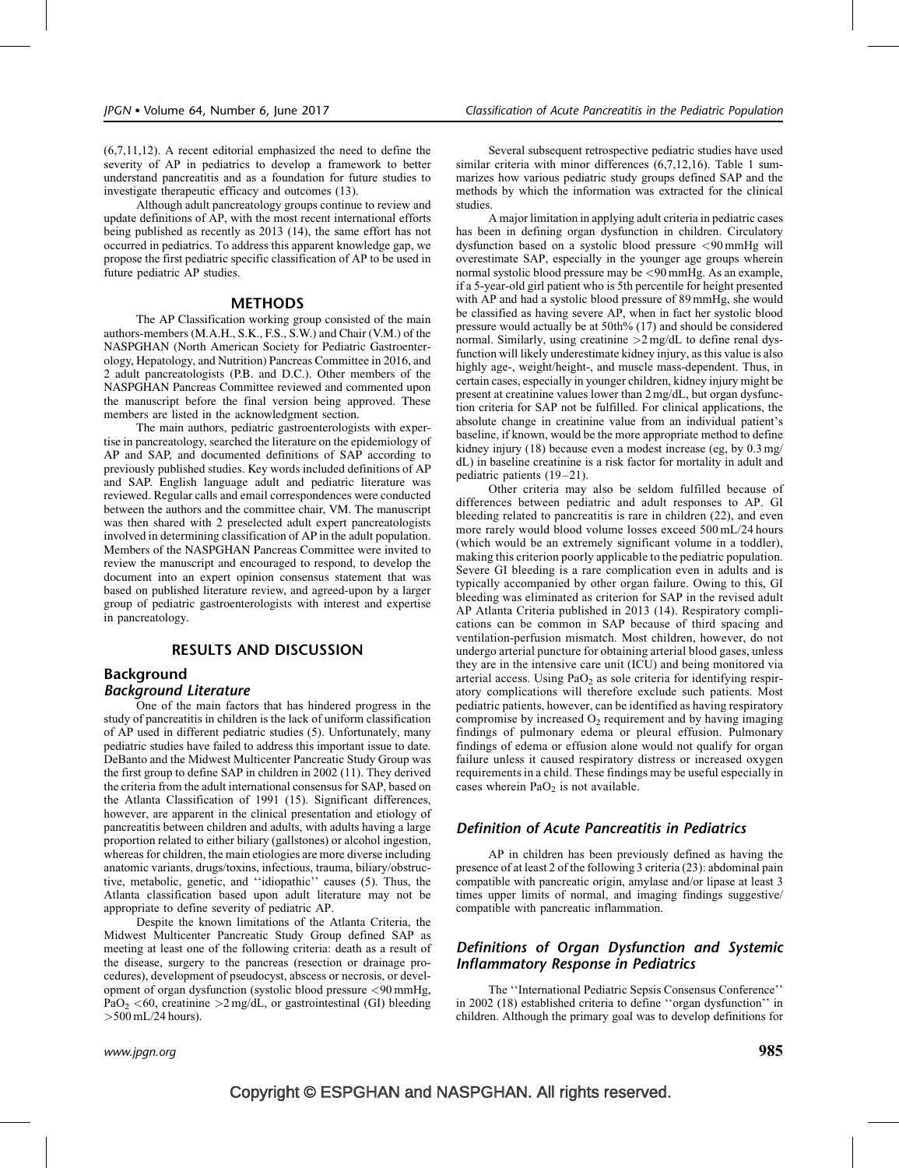[\(6,7,11,12\)](#page-5-0). A recent editorial emphasized the need to define the severity of AP in pediatrics to develop a framework to better understand pancreatitis and as a foundation for future studies to investigate therapeutic efficacy and outcomes [\(13\).](#page-5-0)

Although adult pancreatology groups continue to review and update definitions of AP, with the most recent international efforts being published as recently as 2013 [\(14\),](#page-5-0) the same effort has not occurred in pediatrics. To address this apparent knowledge gap, we propose the first pediatric specific classification of AP to be used in future pediatric AP studies.

### **METHODS**

The AP Classification working group consisted of the main authors-members (M.A.H., S.K., F.S., S.W.) and Chair (V.M.) of the NASPGHAN (North American Society for Pediatric Gastroenterology, Hepatology, and Nutrition) Pancreas Committee in 2016, and 2 adult pancreatologists (P.B. and D.C.). Other members of the NASPGHAN Pancreas Committee reviewed and commented upon the manuscript before the final version being approved. These members are listed in the acknowledgment section.

The main authors, pediatric gastroenterologists with expertise in pancreatology, searched the literature on the epidemiology of AP and SAP, and documented definitions of SAP according to previously published studies. Key words included definitions of AP and SAP. English language adult and pediatric literature was reviewed. Regular calls and email correspondences were conducted between the authors and the committee chair, VM. The manuscript was then shared with 2 preselected adult expert pancreatologists involved in determining classification of AP in the adult population. Members of the NASPGHAN Pancreas Committee were invited to review the manuscript and encouraged to respond, to develop the document into an expert opinion consensus statement that was based on published literature review, and agreed-upon by a larger group of pediatric gastroenterologists with interest and expertise in pancreatology.

### RESULTS AND DISCUSSION

### Background Background Literature

One of the main factors that has hindered progress in the study of pancreatitis in children is the lack of uniform classification of AP used in different pediatric studies [\(5\).](#page-5-0) Unfortunately, many pediatric studies have failed to address this important issue to date. DeBanto and the Midwest Multicenter Pancreatic Study Group was the first group to define SAP in children in 2002 [\(11\).](#page-5-0) They derived the criteria from the adult international consensus for SAP, based on the Atlanta Classification of 1991 [\(15\)](#page-5-0). Significant differences, however, are apparent in the clinical presentation and etiology of pancreatitis between children and adults, with adults having a large proportion related to either biliary (gallstones) or alcohol ingestion, whereas for children, the main etiologies are more diverse including anatomic variants, drugs/toxins, infectious, trauma, biliary/obstructive, metabolic, genetic, and ''idiopathic'' causes [\(5\)](#page-5-0). Thus, the Atlanta classification based upon adult literature may not be appropriate to define severity of pediatric AP.

Despite the known limitations of the Atlanta Criteria, the Midwest Multicenter Pancreatic Study Group defined SAP as meeting at least one of the following criteria: death as a result of the disease, surgery to the pancreas (resection or drainage procedures), development of pseudocyst, abscess or necrosis, or development of organ dysfunction (systolic blood pressure <90 mmHg, PaO<sub>2</sub> <60, creatinine >2 mg/dL, or gastrointestinal (GI) bleeding >500 mL/24 hours).

Several subsequent retrospective pediatric studies have used similar criteria with minor differences [\(6,7,12,16\)](#page-5-0). [Table 1](#page-2-0) summarizes how various pediatric study groups defined SAP and the methods by which the information was extracted for the clinical studies.

A major limitation in applying adult criteria in pediatric cases has been in defining organ dysfunction in children. Circulatory dysfunction based on a systolic blood pressure <90 mmHg will overestimate SAP, especially in the younger age groups wherein normal systolic blood pressure may be <90 mmHg. As an example, if a 5-year-old girl patient who is 5th percentile for height presented with AP and had a systolic blood pressure of 89 mmHg, she would be classified as having severe AP, when in fact her systolic blood pressure would actually be at 50th% [\(17\)](#page-5-0) and should be considered normal. Similarly, using creatinine  $>2$  mg/dL to define renal dysfunction will likely underestimate kidney injury, as this value is also highly age-, weight/height-, and muscle mass-dependent. Thus, in certain cases, especially in younger children, kidney injury might be present at creatinine values lower than 2 mg/dL, but organ dysfunction criteria for SAP not be fulfilled. For clinical applications, the absolute change in creatinine value from an individual patient's baseline, if known, would be the more appropriate method to define kidney injury [\(18\)](#page-5-0) because even a modest increase (eg, by 0.3 mg/ dL) in baseline creatinine is a risk factor for mortality in adult and pediatric patients [\(19–21\)](#page-5-0).

Other criteria may also be seldom fulfilled because of differences between pediatric and adult responses to AP. GI bleeding related to pancreatitis is rare in children [\(22\)](#page-5-0), and even more rarely would blood volume losses exceed 500 mL/24 hours (which would be an extremely significant volume in a toddler), making this criterion poorly applicable to the pediatric population. Severe GI bleeding is a rare complication even in adults and is typically accompanied by other organ failure. Owing to this, GI bleeding was eliminated as criterion for SAP in the revised adult AP Atlanta Criteria published in 2013 [\(14\)](#page-5-0). Respiratory complications can be common in SAP because of third spacing and ventilation-perfusion mismatch. Most children, however, do not undergo arterial puncture for obtaining arterial blood gases, unless they are in the intensive care unit (ICU) and being monitored via arterial access. Using  $PaO<sub>2</sub>$  as sole criteria for identifying respiratory complications will therefore exclude such patients. Most pediatric patients, however, can be identified as having respiratory compromise by increased  $O_2$  requirement and by having imaging findings of pulmonary edema or pleural effusion. Pulmonary findings of edema or effusion alone would not qualify for organ failure unless it caused respiratory distress or increased oxygen requirements in a child. These findings may be useful especially in cases wherein  $PaO<sub>2</sub>$  is not available.

### Definition of Acute Pancreatitis in Pediatrics

AP in children has been previously defined as having the presence of at least 2 of the following 3 criteria [\(23\)](#page-5-0): abdominal pain compatible with pancreatic origin, amylase and/or lipase at least 3 times upper limits of normal, and imaging findings suggestive/ compatible with pancreatic inflammation.

### Definitions of Organ Dysfunction and Systemic Inflammatory Response in Pediatrics

The ''International Pediatric Sepsis Consensus Conference'' in 2002 [\(18\)](#page-5-0) established criteria to define ''organ dysfunction'' in children. Although the primary goal was to develop definitions for

www.jpgn.org  $985$ 

# Copyright © ESPGHAN and NASPGHAN. All rights reserved.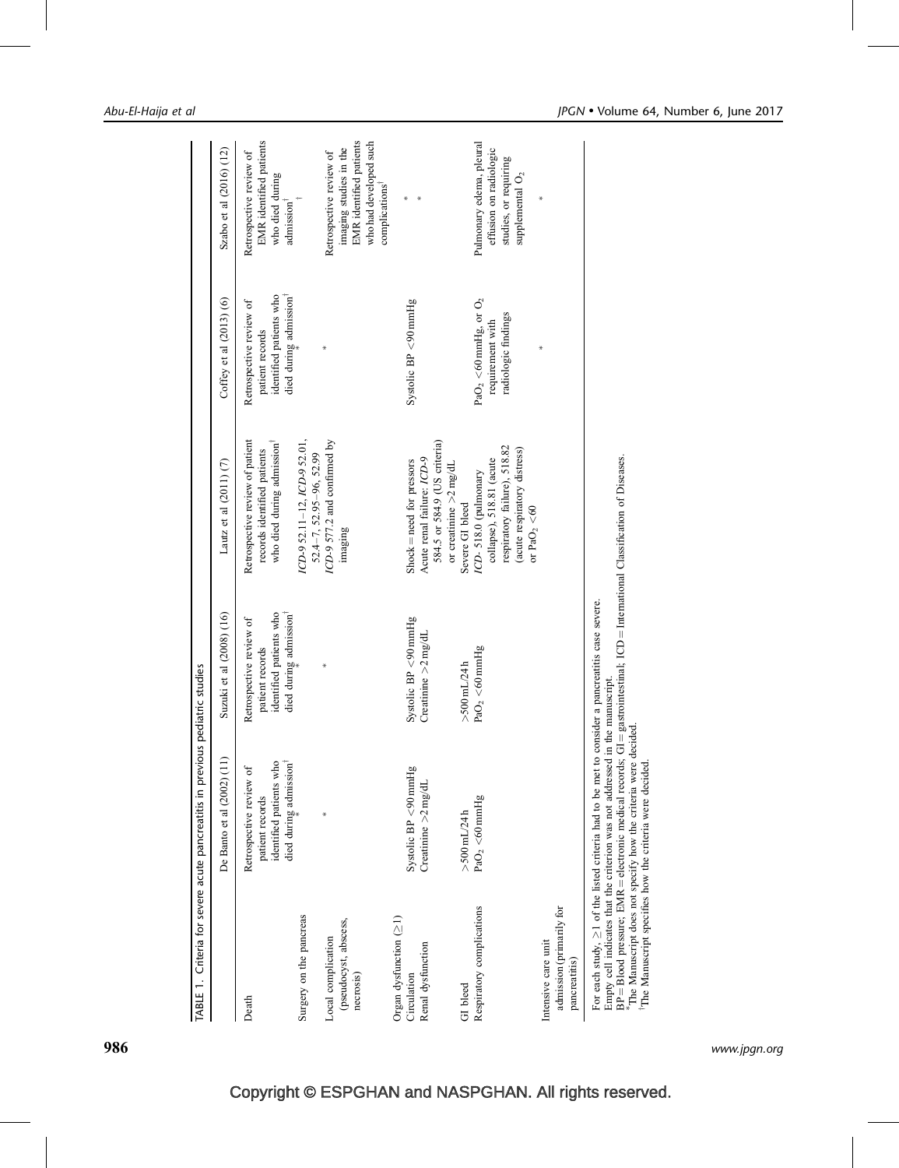<span id="page-2-0"></span>

|                                                                  | TABLE 1. Criteria for severe acute pancreatitis in previous pediatric studies                                                                                                                                                                                                                                                                                                                                                                           |                                                                                                |                                                                                                                     |                                                                                                |                                                                                              |
|------------------------------------------------------------------|---------------------------------------------------------------------------------------------------------------------------------------------------------------------------------------------------------------------------------------------------------------------------------------------------------------------------------------------------------------------------------------------------------------------------------------------------------|------------------------------------------------------------------------------------------------|---------------------------------------------------------------------------------------------------------------------|------------------------------------------------------------------------------------------------|----------------------------------------------------------------------------------------------|
|                                                                  | De Banto et al (2002) (11)                                                                                                                                                                                                                                                                                                                                                                                                                              | Suzuki et al (2008) (16)                                                                       | Lautz et al $(2011)$ $(7)$                                                                                          | Coffey et al $(2013)$ $(6)$                                                                    | Szabo et al (2016) (12)                                                                      |
| Death                                                            | identified patients who<br>died during admission<br>Retrospective review of<br>patient records                                                                                                                                                                                                                                                                                                                                                          | identified patients who<br>died during admission<br>Retrospective review of<br>patient records | Retrospective review of patient<br>who died during admission<br>records identified patients                         | identified patients who<br>died during admission<br>Retrospective review of<br>patient records | EMR identified patients<br>Retrospective review of<br>who died during<br>admission           |
| Surgery on the pancreas<br>Local complication                    |                                                                                                                                                                                                                                                                                                                                                                                                                                                         |                                                                                                | ICD-9 52.11-12, ICD-9 52.01,<br>ICD-9 577.2 and confirmed by<br>$52.4 - 7, 52.95 - 96, 52.99$                       |                                                                                                | Retrospective review of                                                                      |
| (pseudocyst, abscess,<br>necrosis)                               |                                                                                                                                                                                                                                                                                                                                                                                                                                                         |                                                                                                | imaging                                                                                                             |                                                                                                | EMR identified patients<br>who had developed such<br>imaging studies in the<br>complications |
| Organ dysfunction $(\geq 1)$<br>Renal dysfunction<br>Circulation | Systolic BP <90 mmHg<br>Creatinine >2 mg/dL                                                                                                                                                                                                                                                                                                                                                                                                             | Systolic BP <90 mmHg<br>Creatinine $>2$ mg/dL                                                  | 584.5 or 584.9 (US criteria)<br>Acute renal failure: ICD-9<br>$Show = need for persons$<br>or creatinine $>2$ mg/dL | Systolic BP <90 mmHg                                                                           |                                                                                              |
| Respiratory complications<br>GI bleed                            | $PaO2 < 60$ mmHg<br>$>500$ mL/24 h                                                                                                                                                                                                                                                                                                                                                                                                                      | $PaO2 < 60$ mmHg<br>$>500$ mL/24 h                                                             | ICD-518.0 (pulmonary<br>Severe GI bleed                                                                             | PaO <sub>2</sub> <60 mmHg, or $O_2$                                                            | Pulmonary edema, pleural                                                                     |
|                                                                  |                                                                                                                                                                                                                                                                                                                                                                                                                                                         |                                                                                                | respiratory failure), 518.82<br>(acute respiratory distress)<br>collapse), 518.81 (acute<br>or PaO <sub>2</sub> <60 | radiologic findings<br>requirement with                                                        | effusion on radiologic<br>studies, or requiring<br>supplemental O <sub>2</sub>               |
| admission (primarily for<br>Intensive care unit<br>pancreatitis) |                                                                                                                                                                                                                                                                                                                                                                                                                                                         |                                                                                                |                                                                                                                     |                                                                                                |                                                                                              |
|                                                                  | $BP = B$ lood pressure; EMR = electronic medical records; GI = gastrointestinal; ICD = International Classification of Diseases.<br>For each study, $\geq$ 1 of the listed criteria had to be met to consider a pancreatitis case severe.<br>Empty cell indicates that the criterion was not addressed in the manuscript.<br>*The Manuscript does not specify how the criteria were decided.<br>The Manuscript specifies how the criteria were decided. |                                                                                                |                                                                                                                     |                                                                                                |                                                                                              |

986 www.jpgn.org

# Copyright © ESPGHAN and NASPGHAN. All rights reserved.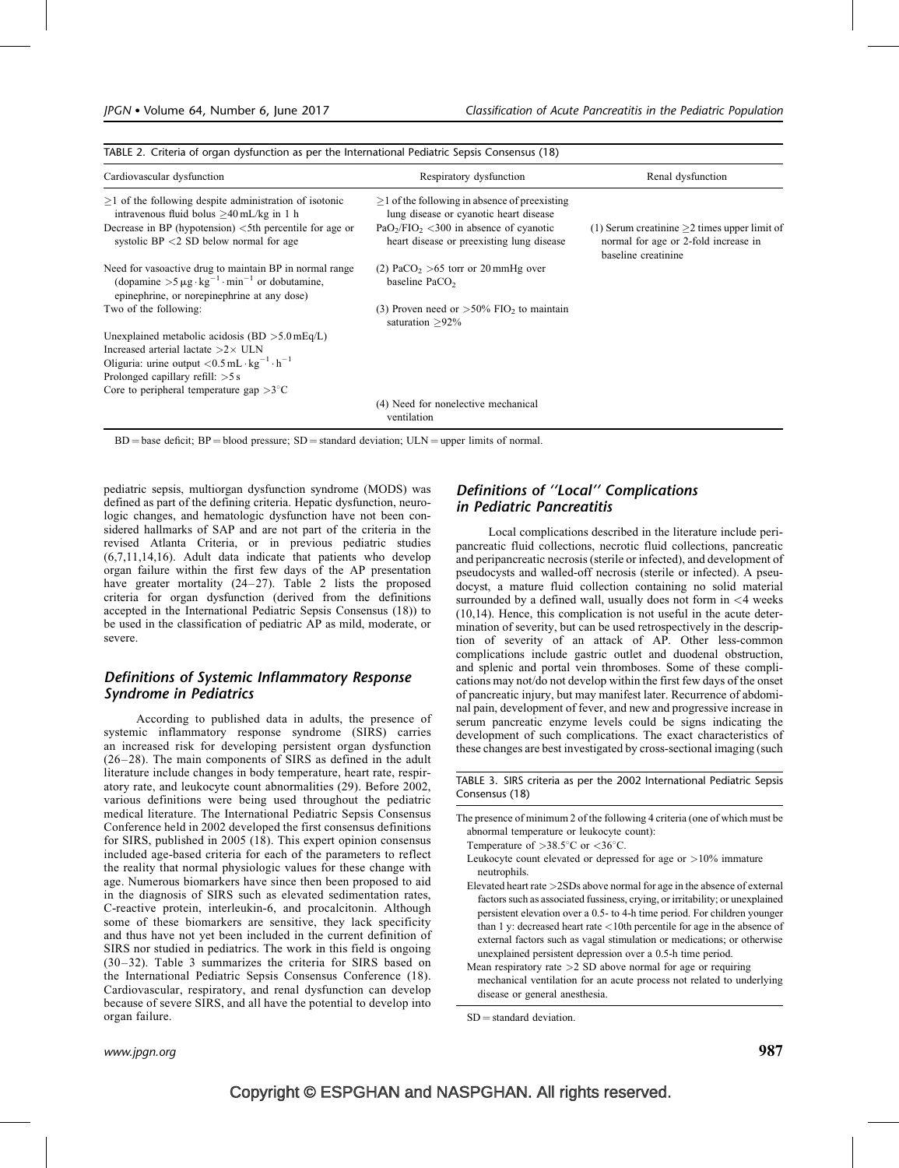| Cardiovascular dysfunction                                                                                                                                                 | Respiratory dysfunction                                                                   | Renal dysfunction                                                                                                   |
|----------------------------------------------------------------------------------------------------------------------------------------------------------------------------|-------------------------------------------------------------------------------------------|---------------------------------------------------------------------------------------------------------------------|
| $>1$ of the following despite administration of isotonic<br>intravenous fluid bolus $>40$ mL/kg in 1 h                                                                     | $>1$ of the following in absence of preexisting<br>lung disease or cyanotic heart disease |                                                                                                                     |
| Decrease in BP (hypotension) $\lt$ 5th percentile for age or<br>systolic BP $\langle 2 \rangle$ SD below normal for age                                                    | $PaO2/FIO2 < 300$ in absence of cyanotic<br>heart disease or preexisting lung disease     | $(1)$ Serum creatinine $\geq 2$ times upper limit of<br>normal for age or 2-fold increase in<br>baseline creatinine |
| Need for vasoactive drug to maintain BP in normal range<br>(dopamine $>5 \mu g \cdot kg^{-1} \cdot min^{-1}$ or dobutamine,<br>epinephrine, or norepinephrine at any dose) | (2) PaCO <sub>2</sub> > 65 torr or 20 mmHg over<br>baseline PaCO <sub>2</sub>             |                                                                                                                     |
| Two of the following:                                                                                                                                                      | (3) Proven need or $>50\%$ FIO <sub>2</sub> to maintain<br>saturation $>92\%$             |                                                                                                                     |
| Unexplained metabolic acidosis $(BD > 5.0 \text{ mEq/L})$                                                                                                                  |                                                                                           |                                                                                                                     |
| Increased arterial lactate $>2\times$ ULN                                                                                                                                  |                                                                                           |                                                                                                                     |
| Oliguria: urine output <0.5 mL $\cdot$ kg <sup>-1</sup> $\cdot$ h <sup>-1</sup>                                                                                            |                                                                                           |                                                                                                                     |
| Prolonged capillary refill: $>5 s$                                                                                                                                         |                                                                                           |                                                                                                                     |
| Core to peripheral temperature gap $>3^{\circ}$ C                                                                                                                          |                                                                                           |                                                                                                                     |
|                                                                                                                                                                            | (4) Need for nonelective mechanical<br>ventilation                                        |                                                                                                                     |

TABLE 2. Criteria of organ dysfunction as per the International Pediatric Sepsis Consensus [\(18\)](#page-5-0)

 $BD = base$  deficit;  $BP = blood pressure$ ;  $SD = standard deviation$ ;  $ULN = upper$  limits of normal.

pediatric sepsis, multiorgan dysfunction syndrome (MODS) was defined as part of the defining criteria. Hepatic dysfunction, neurologic changes, and hematologic dysfunction have not been considered hallmarks of SAP and are not part of the criteria in the revised Atlanta Criteria, or in previous pediatric studies [\(6,7,11,14,16\)](#page-5-0). Adult data indicate that patients who develop organ failure within the first few days of the AP presentation have greater mortality [\(24–27\)](#page-5-0). Table 2 lists the proposed criteria for organ dysfunction (derived from the definitions accepted in the International Pediatric Sepsis Consensus [\(18\)](#page-5-0)) to be used in the classification of pediatric AP as mild, moderate, or severe.

### Definitions of Systemic Inflammatory Response Syndrome in Pediatrics

According to published data in adults, the presence of systemic inflammatory response syndrome (SIRS) carries an increased risk for developing persistent organ dysfunction [\(26–28\)](#page-5-0). The main components of SIRS as defined in the adult literature include changes in body temperature, heart rate, respiratory rate, and leukocyte count abnormalities [\(29\).](#page-6-0) Before 2002, various definitions were being used throughout the pediatric medical literature. The International Pediatric Sepsis Consensus Conference held in 2002 developed the first consensus definitions for SIRS, published in 2005 [\(18\)](#page-5-0). This expert opinion consensus included age-based criteria for each of the parameters to reflect the reality that normal physiologic values for these change with age. Numerous biomarkers have since then been proposed to aid in the diagnosis of SIRS such as elevated sedimentation rates, C-reactive protein, interleukin-6, and procalcitonin. Although some of these biomarkers are sensitive, they lack specificity and thus have not yet been included in the current definition of SIRS nor studied in pediatrics. The work in this field is ongoing [\(30–32\)](#page-6-0). Table 3 summarizes the criteria for SIRS based on the International Pediatric Sepsis Consensus Conference [\(18\)](#page-5-0). Cardiovascular, respiratory, and renal dysfunction can develop because of severe SIRS, and all have the potential to develop into organ failure.

### Definitions of ''Local'' Complications in Pediatric Pancreatitis

Local complications described in the literature include peripancreatic fluid collections, necrotic fluid collections, pancreatic and peripancreatic necrosis (sterile or infected), and development of pseudocysts and walled-off necrosis (sterile or infected). A pseudocyst, a mature fluid collection containing no solid material surrounded by a defined wall, usually does not form in <4 weeks [\(10,14\)](#page-5-0). Hence, this complication is not useful in the acute determination of severity, but can be used retrospectively in the description of severity of an attack of AP. Other less-common complications include gastric outlet and duodenal obstruction, and splenic and portal vein thromboses. Some of these complications may not/do not develop within the first few days of the onset of pancreatic injury, but may manifest later. Recurrence of abdominal pain, development of fever, and new and progressive increase in serum pancreatic enzyme levels could be signs indicating the development of such complications. The exact characteristics of these changes are best investigated by cross-sectional imaging (such

TABLE 3. SIRS criteria as per the 2002 International Pediatric Sepsis Consensus [\(18\)](#page-5-0)

The presence of minimum 2 of the following 4 criteria (one of which must be abnormal temperature or leukocyte count):

Temperature of  $>38.5^{\circ}$ C or <36°C.

- Leukocyte count elevated or depressed for age or >10% immature neutrophils.
- Elevated heart rate >2SDs above normal for age in the absence of external factors such as associated fussiness, crying, or irritability; or unexplained persistent elevation over a 0.5- to 4-h time period. For children younger than 1 y: decreased heart rate <10th percentile for age in the absence of external factors such as vagal stimulation or medications; or otherwise unexplained persistent depression over a 0.5-h time period.
- Mean respiratory rate >2 SD above normal for age or requiring mechanical ventilation for an acute process not related to underlying disease or general anesthesia.

 $SD =$  standard deviation.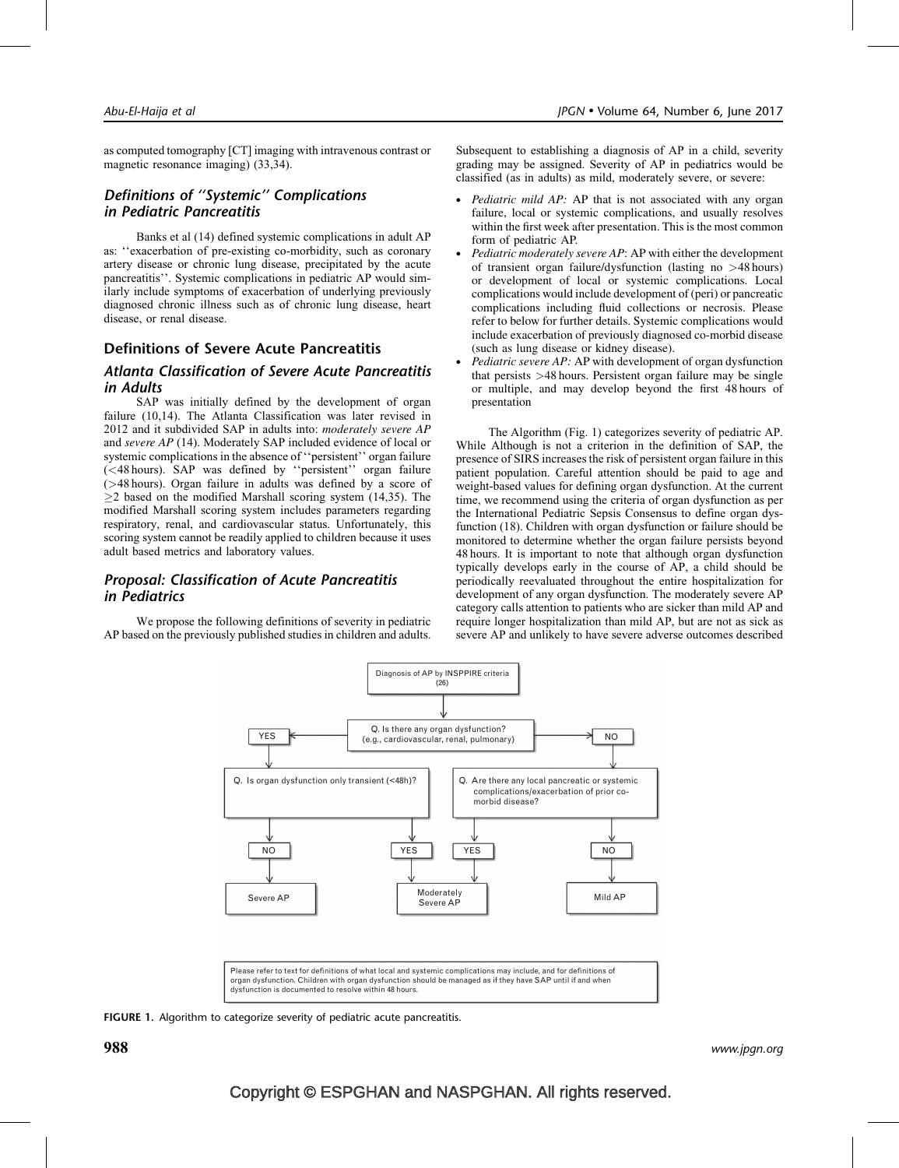as computed tomography [CT] imaging with intravenous contrast or magnetic resonance imaging) [\(33,34\)](#page-6-0).

### Definitions of ''Systemic'' Complications in Pediatric Pancreatitis

Banks et al [\(14\)](#page-5-0) defined systemic complications in adult AP as: ''exacerbation of pre-existing co-morbidity, such as coronary artery disease or chronic lung disease, precipitated by the acute pancreatitis''. Systemic complications in pediatric AP would similarly include symptoms of exacerbation of underlying previously diagnosed chronic illness such as of chronic lung disease, heart disease, or renal disease.

### Definitions of Severe Acute Pancreatitis

### Atlanta Classification of Severe Acute Pancreatitis in Adults

SAP was initially defined by the development of organ failure [\(10,14\).](#page-5-0) The Atlanta Classification was later revised in 2012 and it subdivided SAP in adults into: moderately severe AP and severe AP [\(14\)](#page-5-0). Moderately SAP included evidence of local or systemic complications in the absence of ''persistent'' organ failure (<48 hours). SAP was defined by ''persistent'' organ failure (>48 hours). Organ failure in adults was defined by a score of  $>$ 2 based on the modified Marshall scoring system [\(14,35\).](#page-5-0) The modified Marshall scoring system includes parameters regarding respiratory, renal, and cardiovascular status. Unfortunately, this scoring system cannot be readily applied to children because it uses adult based metrics and laboratory values.

### Proposal: Classification of Acute Pancreatitis in Pediatrics

We propose the following definitions of severity in pediatric AP based on the previously published studies in children and adults. Subsequent to establishing a diagnosis of AP in a child, severity grading may be assigned. Severity of AP in pediatrics would be classified (as in adults) as mild, moderately severe, or severe:

- Pediatric mild AP: AP that is not associated with any organ failure, local or systemic complications, and usually resolves within the first week after presentation. This is the most common form of pediatric AP.
- Pediatric moderately severe AP: AP with either the development of transient organ failure/dysfunction (lasting no >48 hours) or development of local or systemic complications. Local complications would include development of (peri) or pancreatic complications including fluid collections or necrosis. Please refer to below for further details. Systemic complications would include exacerbation of previously diagnosed co-morbid disease (such as lung disease or kidney disease).
- Pediatric severe AP: AP with development of organ dysfunction that persists >48 hours. Persistent organ failure may be single or multiple, and may develop beyond the first 48 hours of presentation

The Algorithm (Fig. 1) categorizes severity of pediatric AP. While Although is not a criterion in the definition of SAP, the presence of SIRS increases the risk of persistent organ failure in this patient population. Careful attention should be paid to age and weight-based values for defining organ dysfunction. At the current time, we recommend using the criteria of organ dysfunction as per the International Pediatric Sepsis Consensus to define organ dysfunction [\(18\)](#page-5-0). Children with organ dysfunction or failure should be monitored to determine whether the organ failure persists beyond 48 hours. It is important to note that although organ dysfunction typically develops early in the course of AP, a child should be periodically reevaluated throughout the entire hospitalization for development of any organ dysfunction. The moderately severe AP category calls attention to patients who are sicker than mild AP and require longer hospitalization than mild AP, but are not as sick as severe AP and unlikely to have severe adverse outcomes described



FIGURE 1. Algorithm to categorize severity of pediatric acute pancreatitis.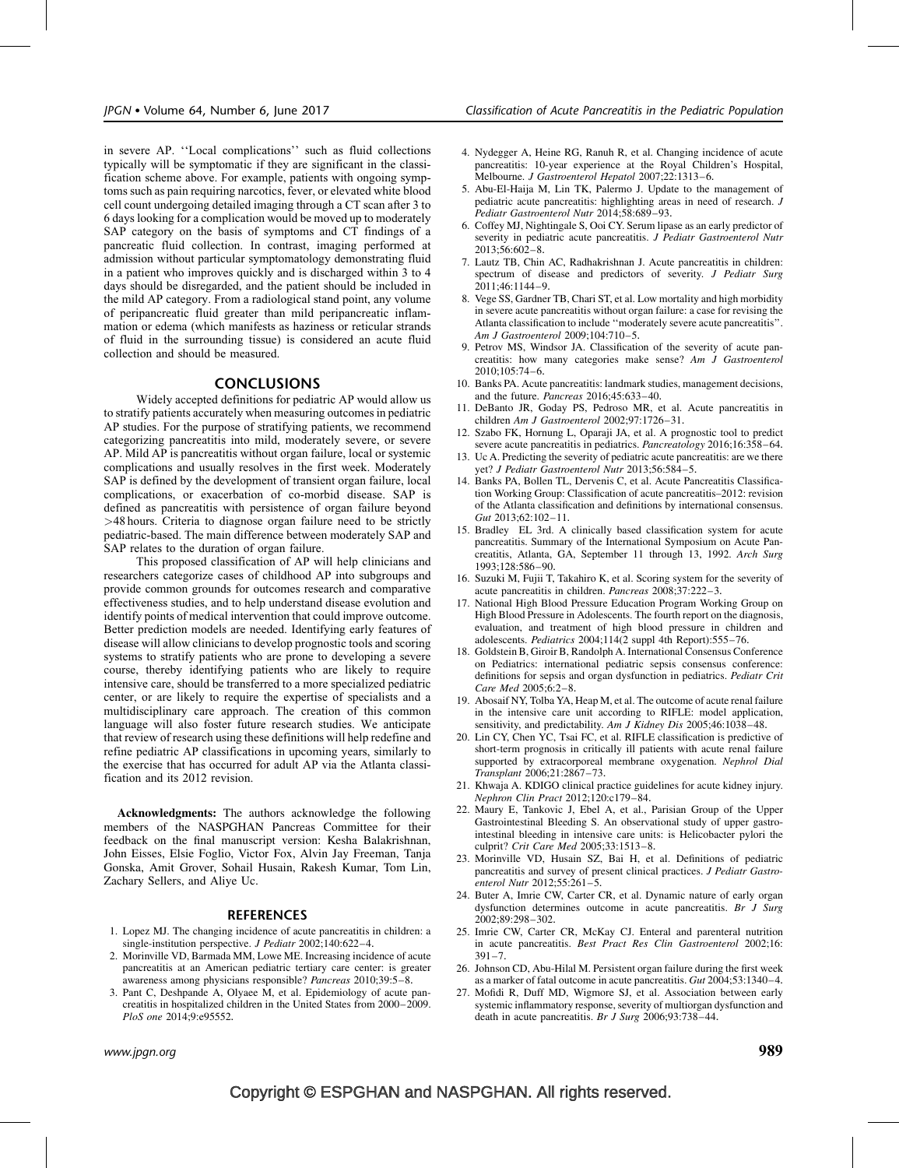<span id="page-5-0"></span>in severe AP. ''Local complications'' such as fluid collections typically will be symptomatic if they are significant in the classification scheme above. For example, patients with ongoing symptoms such as pain requiring narcotics, fever, or elevated white blood cell count undergoing detailed imaging through a CT scan after 3 to 6 days looking for a complication would be moved up to moderately SAP category on the basis of symptoms and CT findings of a pancreatic fluid collection. In contrast, imaging performed at admission without particular symptomatology demonstrating fluid in a patient who improves quickly and is discharged within 3 to 4 days should be disregarded, and the patient should be included in the mild AP category. From a radiological stand point, any volume of peripancreatic fluid greater than mild peripancreatic inflammation or edema (which manifests as haziness or reticular strands of fluid in the surrounding tissue) is considered an acute fluid collection and should be measured.

### CONCLUSIONS

Widely accepted definitions for pediatric AP would allow us to stratify patients accurately when measuring outcomes in pediatric AP studies. For the purpose of stratifying patients, we recommend categorizing pancreatitis into mild, moderately severe, or severe AP. Mild AP is pancreatitis without organ failure, local or systemic complications and usually resolves in the first week. Moderately SAP is defined by the development of transient organ failure, local complications, or exacerbation of co-morbid disease. SAP is defined as pancreatitis with persistence of organ failure beyond >48 hours. Criteria to diagnose organ failure need to be strictly pediatric-based. The main difference between moderately SAP and SAP relates to the duration of organ failure.

This proposed classification of AP will help clinicians and researchers categorize cases of childhood AP into subgroups and provide common grounds for outcomes research and comparative effectiveness studies, and to help understand disease evolution and identify points of medical intervention that could improve outcome. Better prediction models are needed. Identifying early features of disease will allow clinicians to develop prognostic tools and scoring systems to stratify patients who are prone to developing a severe course, thereby identifying patients who are likely to require intensive care, should be transferred to a more specialized pediatric center, or are likely to require the expertise of specialists and a multidisciplinary care approach. The creation of this common language will also foster future research studies. We anticipate that review of research using these definitions will help redefine and refine pediatric AP classifications in upcoming years, similarly to the exercise that has occurred for adult AP via the Atlanta classification and its 2012 revision.

Acknowledgments: The authors acknowledge the following members of the NASPGHAN Pancreas Committee for their feedback on the final manuscript version: Kesha Balakrishnan, John Eisses, Elsie Foglio, Victor Fox, Alvin Jay Freeman, Tanja Gonska, Amit Grover, Sohail Husain, Rakesh Kumar, Tom Lin, Zachary Sellers, and Aliye Uc.

### REFERENCES

- 1. Lopez MJ. The changing incidence of acute pancreatitis in children: a single-institution perspective. J Pediatr 2002;140:622-4.
- 2. Morinville VD, Barmada MM, Lowe ME. Increasing incidence of acute pancreatitis at an American pediatric tertiary care center: is greater awareness among physicians responsible? Pancreas 2010;39:5-8.
- 3. Pant C, Deshpande A, Olyaee M, et al. Epidemiology of acute pancreatitis in hospitalized children in the United States from 2000–2009. PloS one 2014;9:e95552.
- 4. Nydegger A, Heine RG, Ranuh R, et al. Changing incidence of acute pancreatitis: 10-year experience at the Royal Children's Hospital, Melbourne. J Gastroenterol Hepatol 2007;22:1313-6.
- 5. Abu-El-Haija M, Lin TK, Palermo J. Update to the management of pediatric acute pancreatitis: highlighting areas in need of research. J Pediatr Gastroenterol Nutr 2014;58:689–93.
- 6. Coffey MJ, Nightingale S, Ooi CY. Serum lipase as an early predictor of severity in pediatric acute pancreatitis. *J Pediatr Gastroenterol Nutr* 2013;56:602–8.
- 7. Lautz TB, Chin AC, Radhakrishnan J. Acute pancreatitis in children: spectrum of disease and predictors of severity. J Pediatr Surg 2011;46:1144–9.
- 8. Vege SS, Gardner TB, Chari ST, et al. Low mortality and high morbidity in severe acute pancreatitis without organ failure: a case for revising the Atlanta classification to include ''moderately severe acute pancreatitis''. Am J Gastroenterol 2009;104:710–5.
- 9. Petrov MS, Windsor JA. Classification of the severity of acute pancreatitis: how many categories make sense? Am J Gastroenterol 2010;105:74–6.
- 10. Banks PA. Acute pancreatitis: landmark studies, management decisions, and the future. Pancreas 2016;45:633–40.
- 11. DeBanto JR, Goday PS, Pedroso MR, et al. Acute pancreatitis in children Am J Gastroenterol 2002;97:1726–31.
- 12. Szabo FK, Hornung L, Oparaji JA, et al. A prognostic tool to predict severe acute pancreatitis in pediatrics. Pancreatology 2016;16:358–64.
- 13. Uc A. Predicting the severity of pediatric acute pancreatitis: are we there yet? J Pediatr Gastroenterol Nutr 2013;56:584–5.
- 14. Banks PA, Bollen TL, Dervenis C, et al. Acute Pancreatitis Classification Working Group: Classification of acute pancreatitis–2012: revision of the Atlanta classification and definitions by international consensus. Gut 2013;62:102–11.
- 15. Bradley EL 3rd. A clinically based classification system for acute pancreatitis. Summary of the International Symposium on Acute Pancreatitis, Atlanta, GA, September 11 through 13, 1992. Arch Surg 1993;128:586–90.
- 16. Suzuki M, Fujii T, Takahiro K, et al. Scoring system for the severity of acute pancreatitis in children. Pancreas 2008;37:222–3.
- 17. National High Blood Pressure Education Program Working Group on High Blood Pressure in Adolescents. The fourth report on the diagnosis, evaluation, and treatment of high blood pressure in children and adolescents. Pediatrics 2004;114(2 suppl 4th Report):555–76.
- 18. Goldstein B, Giroir B, Randolph A. International Consensus Conference on Pediatrics: international pediatric sepsis consensus conference: definitions for sepsis and organ dysfunction in pediatrics. Pediatr Crit Care Med 2005;6:2–8.
- 19. Abosaif NY, Tolba YA, Heap M, et al. The outcome of acute renal failure in the intensive care unit according to RIFLE: model application, sensitivity, and predictability. Am J Kidney Dis 2005;46:1038–48.
- 20. Lin CY, Chen YC, Tsai FC, et al. RIFLE classification is predictive of short-term prognosis in critically ill patients with acute renal failure supported by extracorporeal membrane oxygenation. Nephrol Dial Transplant 2006;21:2867–73.
- 21. Khwaja A. KDIGO clinical practice guidelines for acute kidney injury. Nephron Clin Pract 2012;120:c179–84.
- 22. Maury E, Tankovic J, Ebel A, et al., Parisian Group of the Upper Gastrointestinal Bleeding S. An observational study of upper gastrointestinal bleeding in intensive care units: is Helicobacter pylori the culprit? Crit Care Med 2005;33:1513–8.
- 23. Morinville VD, Husain SZ, Bai H, et al. Definitions of pediatric pancreatitis and survey of present clinical practices. J Pediatr Gastroenterol Nutr 2012;55:261–5.
- 24. Buter A, Imrie CW, Carter CR, et al. Dynamic nature of early organ dysfunction determines outcome in acute pancreatitis. Br J Surg 2002;89:298–302.
- 25. Imrie CW, Carter CR, McKay CJ. Enteral and parenteral nutrition in acute pancreatitis. Best Pract Res Clin Gastroenterol 2002;16:  $391 - 7$
- 26. Johnson CD, Abu-Hilal M. Persistent organ failure during the first week as a marker of fatal outcome in acute pancreatitis. Gut 2004;53:1340–4.
- 27. Mofidi R, Duff MD, Wigmore SJ, et al. Association between early systemic inflammatory response, severity of multiorgan dysfunction and death in acute pancreatitis. Br J Surg 2006;93:738–44.

## Copyright © ESPGHAN and NASPGHAN. All rights reserved.